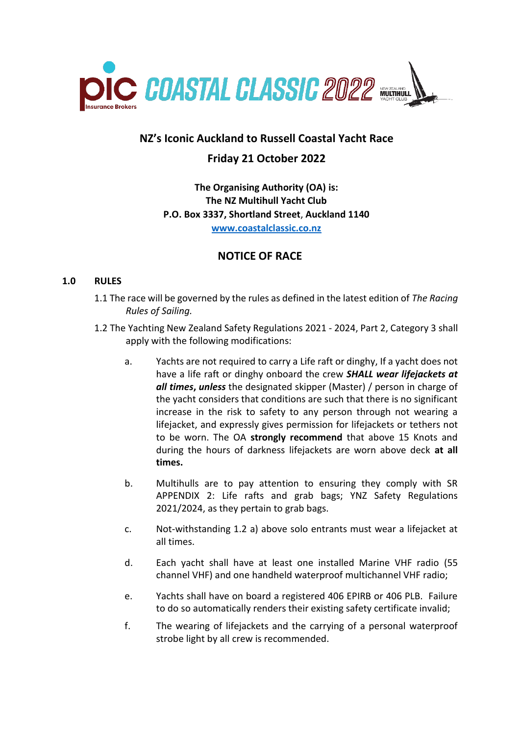

# **NZ's Iconic Auckland to Russell Coastal Yacht Race Friday 21 October 2022**

**The Organising Authority (OA) is: The NZ Multihull Yacht Club P.O. Box 3337, Shortland Street**, **Auckland 1140 [www.coastalclassic.co.nz](http://www.coastalclassic.co.nz/)**

# **NOTICE OF RACE**

### **1.0 RULES**

- 1.1 The race will be governed by the rules as defined in the latest edition of *The Racing Rules of Sailing.*
- 1.2 The Yachting New Zealand Safety Regulations 2021 2024, Part 2, Category 3 shall apply with the following modifications:
	- a. Yachts are not required to carry a Life raft or dinghy, If a yacht does not have a life raft or dinghy onboard the crew *SHALL wear lifejackets at all times***,** *unless* the designated skipper (Master) / person in charge of the yacht considers that conditions are such that there is no significant increase in the risk to safety to any person through not wearing a lifejacket, and expressly gives permission for lifejackets or tethers not to be worn. The OA **strongly recommend** that above 15 Knots and during the hours of darkness lifejackets are worn above deck **at all times.**
	- b. Multihulls are to pay attention to ensuring they comply with SR APPENDIX 2: Life rafts and grab bags; YNZ Safety Regulations 2021/2024, as they pertain to grab bags.
	- c. Not-withstanding 1.2 a) above solo entrants must wear a lifejacket at all times.
	- d. Each yacht shall have at least one installed Marine VHF radio (55 channel VHF) and one handheld waterproof multichannel VHF radio;
	- e. Yachts shall have on board a registered 406 EPIRB or 406 PLB. Failure to do so automatically renders their existing safety certificate invalid;
	- f. The wearing of lifejackets and the carrying of a personal waterproof strobe light by all crew is recommended.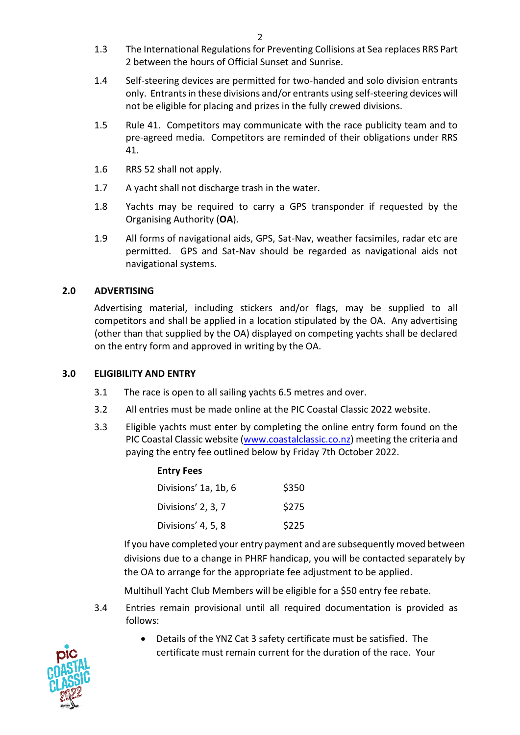- 1.3 The International Regulations for Preventing Collisions at Sea replaces RRS Part 2 between the hours of Official Sunset and Sunrise.
- 1.4 Self-steering devices are permitted for two-handed and solo division entrants only. Entrants in these divisions and/or entrants using self-steering devices will not be eligible for placing and prizes in the fully crewed divisions.
- 1.5 Rule 41. Competitors may communicate with the race publicity team and to pre-agreed media. Competitors are reminded of their obligations under RRS 41.
- 1.6 RRS 52 shall not apply.
- 1.7 A yacht shall not discharge trash in the water.
- 1.8 Yachts may be required to carry a GPS transponder if requested by the Organising Authority (**OA**).
- 1.9 All forms of navigational aids, GPS, Sat-Nav, weather facsimiles, radar etc are permitted. GPS and Sat-Nav should be regarded as navigational aids not navigational systems.

# **2.0 ADVERTISING**

Advertising material, including stickers and/or flags, may be supplied to all competitors and shall be applied in a location stipulated by the OA. Any advertising (other than that supplied by the OA) displayed on competing yachts shall be declared on the entry form and approved in writing by the OA.

### **3.0 ELIGIBILITY AND ENTRY**

- 3.1 The race is open to all sailing yachts 6.5 metres and over.
- 3.2 All entries must be made online at the PIC Coastal Classic 2022 website.
- 3.3 Eligible yachts must enter by completing the online entry form found on the PIC Coastal Classic website [\(www.coastalclassic.co.nz\) m](http://www.coastalclassic.co.nz/)eeting the criteria and paying the entry fee outlined below by Friday 7th October 2022.

| Divisions' 1a, 1b, 6 | \$350 |
|----------------------|-------|
| Divisions' 2, 3, 7   | \$275 |
| Divisions' 4, 5, 8   | \$225 |

If you have completed your entry payment and are subsequently moved between divisions due to a change in PHRF handicap, you will be contacted separately by the OA to arrange for the appropriate fee adjustment to be applied.

Multihull Yacht Club Members will be eligible for a \$50 entry fee rebate.

- 3.4 Entries remain provisional until all required documentation is provided as follows:
	- Details of the YNZ Cat 3 safety certificate must be satisfied. The certificate must remain current for the duration of the race. Your

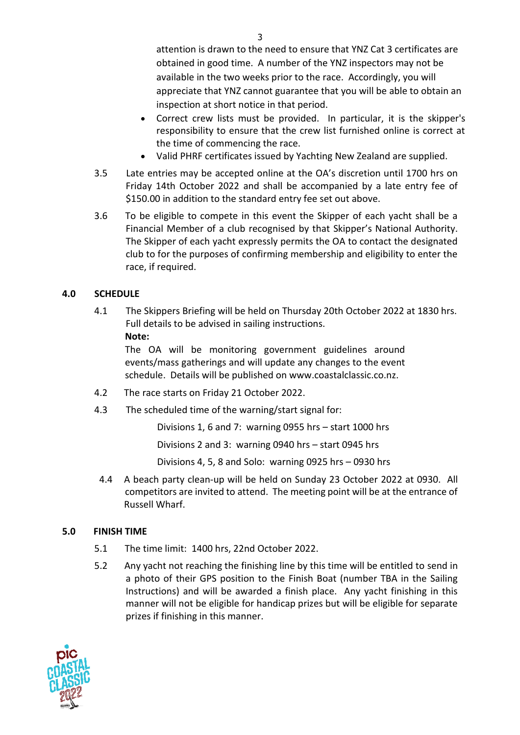attention is drawn to the need to ensure that YNZ Cat 3 certificates are obtained in good time. A number of the YNZ inspectors may not be available in the two weeks prior to the race. Accordingly, you will appreciate that YNZ cannot guarantee that you will be able to obtain an inspection at short notice in that period.

- Correct crew lists must be provided. In particular, it is the skipper's responsibility to ensure that the crew list furnished online is correct at the time of commencing the race.
- Valid PHRF certificates issued by Yachting New Zealand are supplied.
- 3.5 Late entries may be accepted online at the OA's discretion until 1700 hrs on Friday 14th October 2022 and shall be accompanied by a late entry fee of \$150.00 in addition to the standard entry fee set out above.
- 3.6 To be eligible to compete in this event the Skipper of each yacht shall be a Financial Member of a club recognised by that Skipper's National Authority. The Skipper of each yacht expressly permits the OA to contact the designated club to for the purposes of confirming membership and eligibility to enter the race, if required.

# **4.0 SCHEDULE**

4.1 The Skippers Briefing will be held on Thursday 20th October 2022 at 1830 hrs. Full details to be advised in sailing instructions. **Note:**

The OA will be monitoring government guidelines around events/mass gatherings and will update any changes to the event schedule. Details will be published on www.coastalclassic.co.nz.

- 4.2 The race starts on Friday 21 October 2022.
- 4.3 The scheduled time of the warning/start signal for:

Divisions 1, 6 and 7: warning 0955 hrs – start 1000 hrs

Divisions 2 and 3: warning 0940 hrs – start 0945 hrs

Divisions 4, 5, 8 and Solo: warning 0925 hrs – 0930 hrs

4.4 A beach party clean-up will be held on Sunday 23 October 2022 at 0930. All competitors are invited to attend. The meeting point will be at the entrance of Russell Wharf.

# **5.0 FINISH TIME**

- 5.1 The time limit: 1400 hrs, 22nd October 2022.
- 5.2 Any yacht not reaching the finishing line by this time will be entitled to send in a photo of their GPS position to the Finish Boat (number TBA in the Sailing Instructions) and will be awarded a finish place. Any yacht finishing in this manner will not be eligible for handicap prizes but will be eligible for separate prizes if finishing in this manner.

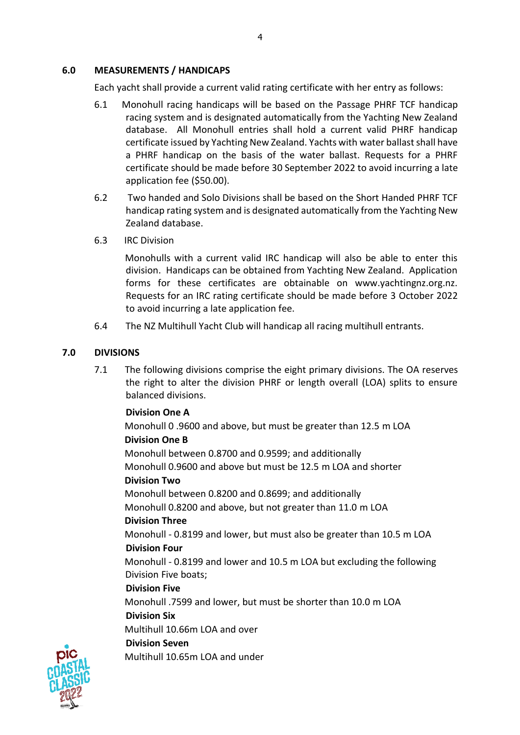### **6.0 MEASUREMENTS / HANDICAPS**

Each yacht shall provide a current valid rating certificate with her entry as follows:

- 6.1 Monohull racing handicaps will be based on the Passage PHRF TCF handicap racing system and is designated automatically from the Yachting New Zealand database. All Monohull entries shall hold a current valid PHRF handicap certificate issued by Yachting New Zealand. Yachts with water ballast shall have a PHRF handicap on the basis of the water ballast. Requests for a PHRF certificate should be made before 30 September 2022 to avoid incurring a late application fee (\$50.00).
- 6.2 Two handed and Solo Divisions shall be based on the Short Handed PHRF TCF handicap rating system and is designated automatically from the Yachting New Zealand database.
- 6.3 IRC Division

Monohulls with a current valid IRC handicap will also be able to enter this division. Handicaps can be obtained from Yachting New Zealand. Application forms for these certificates are obtainable on www.yachtingnz.org.nz. Requests for an IRC rating certificate should be made before 3 October 2022 to avoid incurring a late application fee.

6.4 The NZ Multihull Yacht Club will handicap all racing multihull entrants.

# **7.0 DIVISIONS**

7.1 The following divisions comprise the eight primary divisions. The OA reserves the right to alter the division PHRF or length overall (LOA) splits to ensure balanced divisions.

### **Division One A**

Monohull 0 .9600 and above, but must be greater than 12.5 m LOA **Division One B** Monohull between 0.8700 and 0.9599; and additionally

Monohull 0.9600 and above but must be 12.5 m LOA and shorter

# **Division Two**

Monohull between 0.8200 and 0.8699; and additionally

Monohull 0.8200 and above, but not greater than 11.0 m LOA

# **Division Three**

Monohull - 0.8199 and lower, but must also be greater than 10.5 m LOA **Division Four**

Monohull - 0.8199 and lower and 10.5 m LOA but excluding the following Division Five boats;

# **Division Five**

Monohull .7599 and lower, but must be shorter than 10.0 m LOA

### **Division Six**

Multihull 10.66m LOA and over

### **Division Seven**

Multihull 10.65m LOA and under

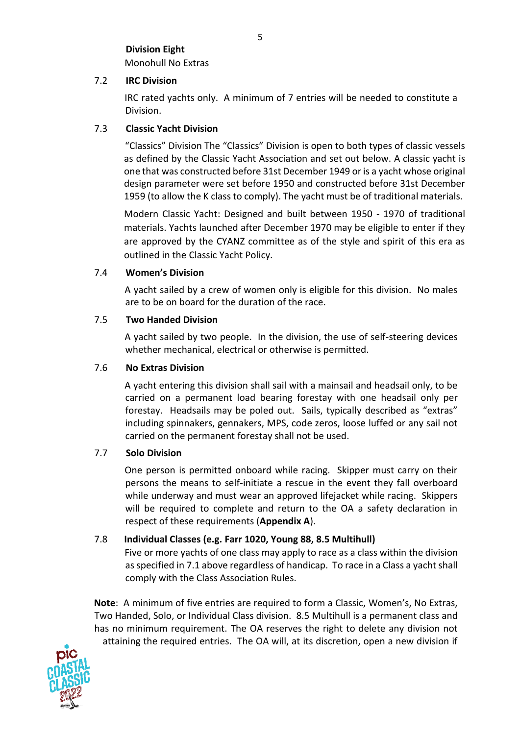# **Division Eight**  Monohull No Extras

### 7.2 **IRC Division**

IRC rated yachts only. A minimum of 7 entries will be needed to constitute a Division.

# 7.3 **Classic Yacht Division**

"Classics" Division The "Classics" Division is open to both types of classic vessels as defined by the Classic Yacht Association and set out below. A classic yacht is one that was constructed before 31st December 1949 or is a yacht whose original design parameter were set before 1950 and constructed before 31st December 1959 (to allow the K class to comply). The yacht must be of traditional materials.

Modern Classic Yacht: Designed and built between 1950 - 1970 of traditional materials. Yachts launched after December 1970 may be eligible to enter if they are approved by the CYANZ committee as of the style and spirit of this era as outlined in the Classic Yacht Policy.

### 7.4 **Women's Division**

A yacht sailed by a crew of women only is eligible for this division. No males are to be on board for the duration of the race.

### 7.5 **Two Handed Division**

A yacht sailed by two people. In the division, the use of self-steering devices whether mechanical, electrical or otherwise is permitted.

### 7.6 **No Extras Division**

A yacht entering this division shall sail with a mainsail and headsail only, to be carried on a permanent load bearing forestay with one headsail only per forestay. Headsails may be poled out. Sails, typically described as "extras" including spinnakers, gennakers, MPS, code zeros, loose luffed or any sail not carried on the permanent forestay shall not be used.

# 7.7 **Solo Division**

One person is permitted onboard while racing. Skipper must carry on their persons the means to self-initiate a rescue in the event they fall overboard while underway and must wear an approved lifejacket while racing. Skippers will be required to complete and return to the OA a safety declaration in respect of these requirements (**Appendix A**).

# 7.8 **Individual Classes (e.g. Farr 1020, Young 88, 8.5 Multihull)**

Five or more yachts of one class may apply to race as a class within the division as specified in 7.1 above regardless of handicap. To race in a Class a yacht shall comply with the Class Association Rules.

**Note**: A minimum of five entries are required to form a Classic, Women's, No Extras, Two Handed, Solo, or Individual Class division. 8.5 Multihull is a permanent class and has no minimum requirement. The OA reserves the right to delete any division not attaining the required entries. The OA will, at its discretion, open a new division if

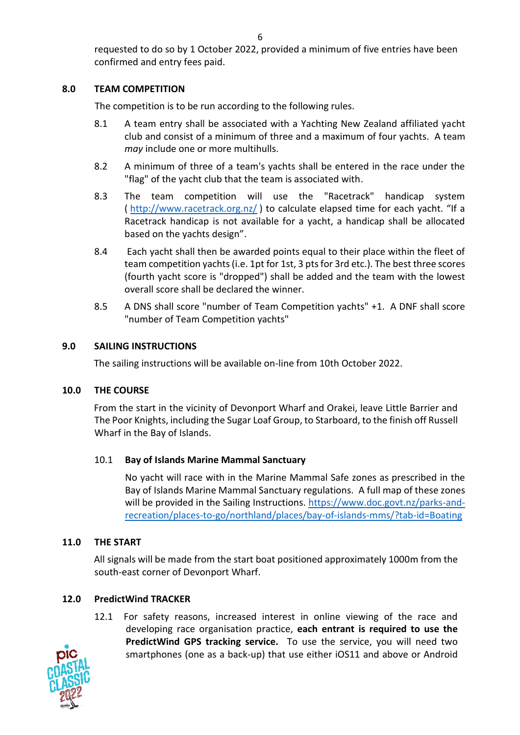requested to do so by 1 October 2022, provided a minimum of five entries have been confirmed and entry fees paid.

# **8.0 TEAM COMPETITION**

The competition is to be run according to the following rules.

- 8.1 A team entry shall be associated with a Yachting New Zealand affiliated yacht club and consist of a minimum of three and a maximum of four yachts. A team *may* include one or more multihulls.
- 8.2 A minimum of three of a team's yachts shall be entered in the race under the "flag" of the yacht club that the team is associated with.
- 8.3 The team competition will use the "Racetrack" handicap system ( <http://www.racetrack.org.nz/> ) to calculate elapsed time for each yacht. "If a Racetrack handicap is not available for a yacht, a handicap shall be allocated based on the yachts design".
- 8.4 Each yacht shall then be awarded points equal to their place within the fleet of team competition yachts (i.e. 1pt for 1st, 3 pts for 3rd etc.). The best three scores (fourth yacht score is "dropped") shall be added and the team with the lowest overall score shall be declared the winner.
- 8.5 A DNS shall score "number of Team Competition yachts" +1. A DNF shall score "number of Team Competition yachts"

# **9.0 SAILING INSTRUCTIONS**

The sailing instructions will be available on-line from 10th October 2022.

# **10.0 THE COURSE**

From the start in the vicinity of Devonport Wharf and Orakei, leave Little Barrier and The Poor Knights, including the Sugar Loaf Group, to Starboard, to the finish off Russell Wharf in the Bay of Islands.

# 10.1 **Bay of Islands Marine Mammal Sanctuary**

No yacht will race with in the Marine Mammal Safe zones as prescribed in the Bay of Islands Marine Mammal Sanctuary regulations. A full map of these zones will be provided in the Sailing Instructions. [https://www.doc.govt.nz/parks-and](https://www.doc.govt.nz/parks-and-recreation/places-to-go/northland/places/bay-of-islands-mms/?tab-id=Boating)[recreation/places-to-go/northland/places/bay-of-islands-mms/?tab-id=Boating](https://www.doc.govt.nz/parks-and-recreation/places-to-go/northland/places/bay-of-islands-mms/?tab-id=Boating)

# **11.0 THE START**

All signals will be made from the start boat positioned approximately 1000m from the south-east corner of Devonport Wharf.

# **12.0 PredictWind TRACKER**

12.1 For safety reasons, increased interest in online viewing of the race and developing race organisation practice, **each entrant is required to use the PredictWind GPS tracking service.** To use the service, you will need two smartphones (one as a back-up) that use either iOS11 and above or Android

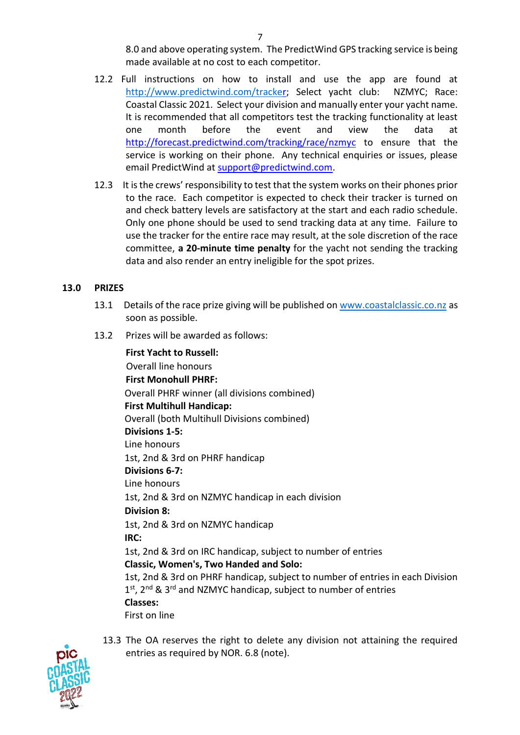8.0 and above operating system. The PredictWind GPS tracking service is being made available at no cost to each competitor.

- 12.2 Full instructions on how to install and use the app are found at <http://www.predictwind.com/tracke>[r; S](http://www.predictwind.com/tracker)elect yacht club: NZMYC; Race: Coastal Classic 2021. Select your division and manually enter your yacht name. It is recommended that all competitors test the tracking functionality at least one month before the event and view the data at <http://forecast.predictwind.com/tracking/race/nzmyc> [to](http://forecast.predictwind.com/tracking/race/nzmyc) ensure that the service is working on their phone. Any technical enquiries or issues, please email PredictWind at support@predictwind.com.
- 12.3 It is the crews' responsibility to test that the system works on their phones prior to the race. Each competitor is expected to check their tracker is turned on and check battery levels are satisfactory at the start and each radio schedule. Only one phone should be used to send tracking data at any time. Failure to use the tracker for the entire race may result, at the sole discretion of the race committee, **a 20-minute time penalty** for the yacht not sending the tracking data and also render an entry ineligible for the spot prizes.

### **13.0 PRIZES**

- 13.1 Details of the race prize giving will be published on [www.coastalclassic.co.nz](http://www.coastalclassic.co.nz/) as soon as possible.
- 13.2 Prizes will be awarded as follows:

**First Yacht to Russell:**  Overall line honours **First Monohull PHRF:**  Overall PHRF winner (all divisions combined) **First Multihull Handicap:**  Overall (both Multihull Divisions combined) **Divisions 1-5:**  Line honours 1st, 2nd & 3rd on PHRF handicap **Divisions 6-7:**  Line honours 1st, 2nd & 3rd on NZMYC handicap in each division **Division 8:**  1st, 2nd & 3rd on NZMYC handicap **IRC:**  1st, 2nd & 3rd on IRC handicap, subject to number of entries **Classic, Women's, Two Handed and Solo:**  1st, 2nd & 3rd on PHRF handicap, subject to number of entries in each Division 1<sup>st</sup>, 2<sup>nd</sup> & 3<sup>rd</sup> and NZMYC handicap, subject to number of entries **Classes:** First on line



13.3 The OA reserves the right to delete any division not attaining the required entries as required by NOR. 6.8 (note).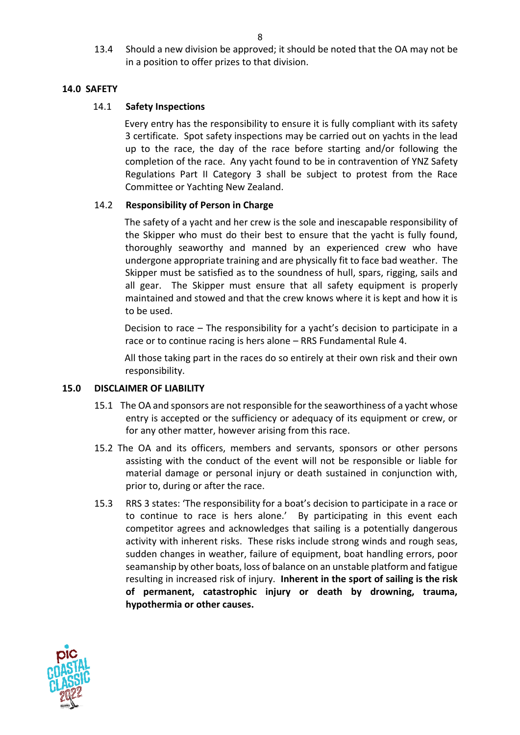13.4 Should a new division be approved; it should be noted that the OA may not be in a position to offer prizes to that division.

# **14.0 SAFETY**

# 14.1 **Safety Inspections**

Every entry has the responsibility to ensure it is fully compliant with its safety 3 certificate. Spot safety inspections may be carried out on yachts in the lead up to the race, the day of the race before starting and/or following the completion of the race. Any yacht found to be in contravention of YNZ Safety Regulations Part II Category 3 shall be subject to protest from the Race Committee or Yachting New Zealand.

### 14.2 **Responsibility of Person in Charge**

The safety of a yacht and her crew is the sole and inescapable responsibility of the Skipper who must do their best to ensure that the yacht is fully found, thoroughly seaworthy and manned by an experienced crew who have undergone appropriate training and are physically fit to face bad weather. The Skipper must be satisfied as to the soundness of hull, spars, rigging, sails and all gear. The Skipper must ensure that all safety equipment is properly maintained and stowed and that the crew knows where it is kept and how it is to be used.

Decision to race – The responsibility for a yacht's decision to participate in a race or to continue racing is hers alone – RRS Fundamental Rule 4.

All those taking part in the races do so entirely at their own risk and their own responsibility.

### **15.0 DISCLAIMER OF LIABILITY**

- 15.1 The OA and sponsors are not responsible for the seaworthiness of a yacht whose entry is accepted or the sufficiency or adequacy of its equipment or crew, or for any other matter, however arising from this race.
- 15.2 The OA and its officers, members and servants, sponsors or other persons assisting with the conduct of the event will not be responsible or liable for material damage or personal injury or death sustained in conjunction with, prior to, during or after the race.
- 15.3 RRS 3 states: 'The responsibility for a boat's decision to participate in a race or to continue to race is hers alone.' By participating in this event each competitor agrees and acknowledges that sailing is a potentially dangerous activity with inherent risks. These risks include strong winds and rough seas, sudden changes in weather, failure of equipment, boat handling errors, poor seamanship by other boats, loss of balance on an unstable platform and fatigue resulting in increased risk of injury. **Inherent in the sport of sailing is the risk of permanent, catastrophic injury or death by drowning, trauma, hypothermia or other causes.**

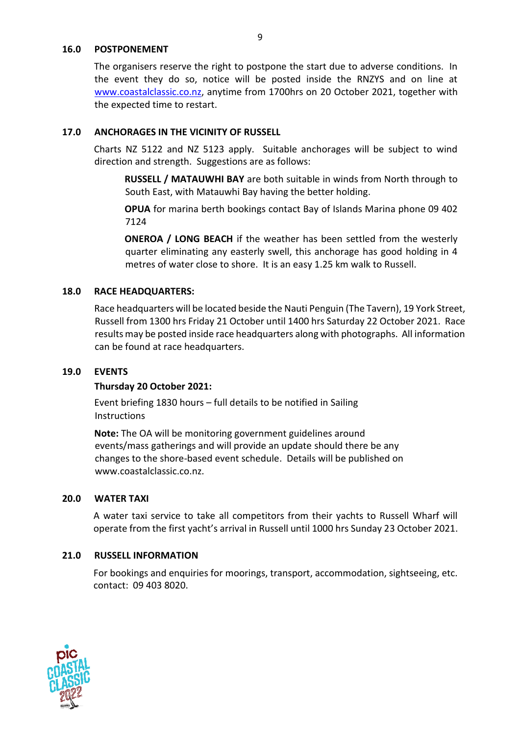#### **16.0 POSTPONEMENT**

The organisers reserve the right to postpone the start due to adverse conditions. In the event they do so, notice will be posted inside the RNZYS and on line at [www.coastalclassic.co.nz,](http://www.coastalclassic.co.nz/) anytime from 1700hrs on 20 October 2021, together with the expected time to restart.

### **17.0 ANCHORAGES IN THE VICINITY OF RUSSELL**

Charts NZ 5122 and NZ 5123 apply. Suitable anchorages will be subject to wind direction and strength. Suggestions are as follows:

**RUSSELL / MATAUWHI BAY** are both suitable in winds from North through to South East, with Matauwhi Bay having the better holding.

**OPUA** for marina berth bookings contact Bay of Islands Marina phone 09 402 7124

**ONEROA / LONG BEACH** if the weather has been settled from the westerly quarter eliminating any easterly swell, this anchorage has good holding in 4 metres of water close to shore. It is an easy 1.25 km walk to Russell.

### **18.0 RACE HEADQUARTERS:**

Race headquarters will be located beside the Nauti Penguin (The Tavern), 19 York Street, Russell from 1300 hrs Friday 21 October until 1400 hrs Saturday 22 October 2021. Race results may be posted inside race headquarters along with photographs. All information can be found at race headquarters.

### **19.0 EVENTS**

### **Thursday 20 October 2021:**

Event briefing 1830 hours – full details to be notified in Sailing Instructions

**Note:** The OA will be monitoring government guidelines around events/mass gatherings and will provide an update should there be any changes to the shore-based event schedule. Details will be published on www.coastalclassic.co.nz.

### **20.0 WATER TAXI**

A water taxi service to take all competitors from their yachts to Russell Wharf will operate from the first yacht's arrival in Russell until 1000 hrs Sunday 23 October 2021.

# **21.0 RUSSELL INFORMATION**

For bookings and enquiries for moorings, transport, accommodation, sightseeing, etc. contact: 09 403 8020.